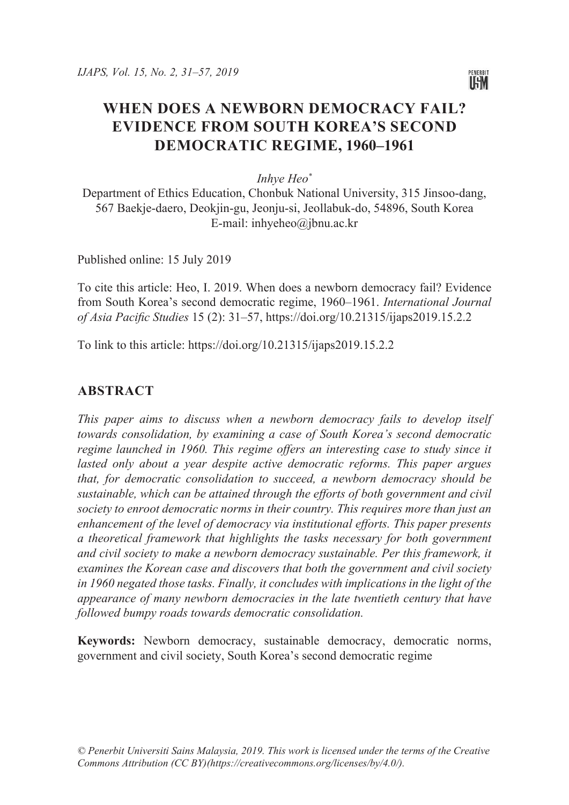

# **WHEN DOES A NEWBORN DEMOCRACY FAIL? EVIDENCE FROM SOUTH KOREA'S SECOND DEMOCRATIC REGIME, 1960–1961**

*Inhye Heo\**

Department of Ethics Education, Chonbuk National University, 315 Jinsoo-dang, 567 Baekje-daero, Deokjin-gu, Jeonju-si, Jeollabuk-do, 54896, South Korea E-mail: [inhyeheo@jbnu.ac.kr](mailto:inhyeheo@jbnu.ac.kr)

Published online: 15 July 2019

To cite this article: Heo, I. 2019. When does a newborn democracy fail? Evidence from South Korea's second democratic regime, 1960–1961. *International Journal of Asia Pacific Studies* 15 (2): 31–57, https://doi.org/10.21315/ijaps2019.15.2.2

To link to this article: https://doi.org/10.21315/ijaps2019.15.2.2

### **ABSTRACT**

*This paper aims to discuss when a newborn democracy fails to develop itself towards consolidation, by examining a case of South Korea's second democratic regime launched in 1960. This regime offers an interesting case to study since it* lasted only about a year despite active democratic reforms. This paper argues *that, for democratic consolidation to succeed, a newborn democracy should be sustainable, which can be attained through the efforts of both government and civil society to enroot democratic norms in their country. This requires more than just an enhancement of the level of democracy via institutional efforts. This paper presents a theoretical framework that highlights the tasks necessary for both government and civil society to make a newborn democracy sustainable. Per this framework, it examines the Korean case and discovers that both the government and civil society in 1960 negated those tasks. Finally, it concludes with implications in the light of the appearance of many newborn democracies in the late twentieth century that have followed bumpy roads towards democratic consolidation.*

**Keywords:** Newborn democracy, sustainable democracy, democratic norms, government and civil society, South Korea's second democratic regime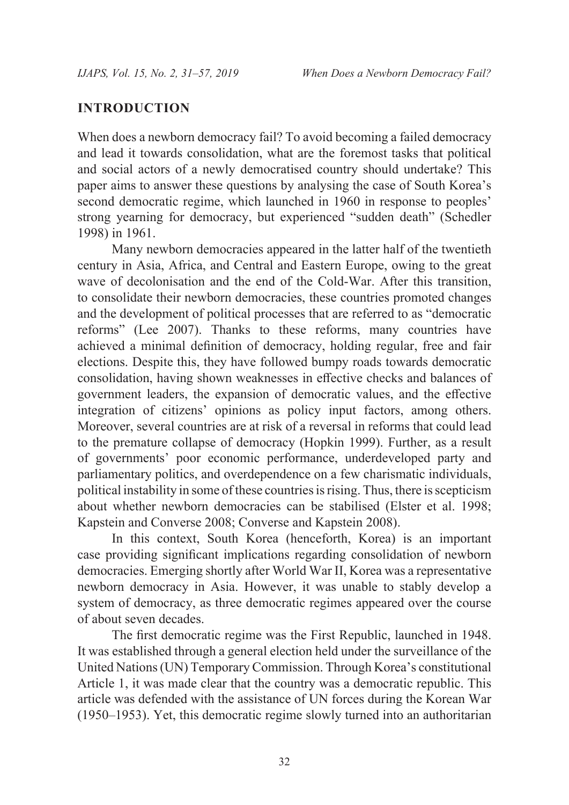### **INTRODUCTION**

When does a newborn democracy fail? To avoid becoming a failed democracy and lead it towards consolidation, what are the foremost tasks that political and social actors of a newly democratised country should undertake? This paper aims to answer these questions by analysing the case of South Korea's second democratic regime, which launched in 1960 in response to peoples' strong yearning for democracy, but experienced "sudden death" (Schedler 1998) in 1961.

Many newborn democracies appeared in the latter half of the twentieth century in Asia, Africa, and Central and Eastern Europe, owing to the great wave of decolonisation and the end of the Cold-War. After this transition, to consolidate their newborn democracies, these countries promoted changes and the development of political processes that are referred to as "democratic reforms" (Lee 2007). Thanks to these reforms, many countries have achieved a minimal definition of democracy, holding regular, free and fair elections. Despite this, they have followed bumpy roads towards democratic consolidation, having shown weaknesses in effective checks and balances of government leaders, the expansion of democratic values, and the effective integration of citizens' opinions as policy input factors, among others. Moreover, several countries are at risk of a reversal in reforms that could lead to the premature collapse of democracy (Hopkin 1999). Further, as a result of governments' poor economic performance, underdeveloped party and parliamentary politics, and overdependence on a few charismatic individuals, political instability in some of these countries is rising. Thus, there is scepticism about whether newborn democracies can be stabilised (Elster et al. 1998; Kapstein and Converse 2008; Converse and Kapstein 2008).

In this context, South Korea (henceforth, Korea) is an important case providing significant implications regarding consolidation of newborn democracies. Emerging shortly after World War II, Korea was a representative newborn democracy in Asia. However, it was unable to stably develop a system of democracy, as three democratic regimes appeared over the course of about seven decades.

The first democratic regime was the First Republic, launched in 1948. It was established through a general election held under the surveillance of the United Nations (UN) Temporary Commission. Through Korea's constitutional Article 1, it was made clear that the country was a democratic republic. This article was defended with the assistance of UN forces during the Korean War (1950–1953). Yet, this democratic regime slowly turned into an authoritarian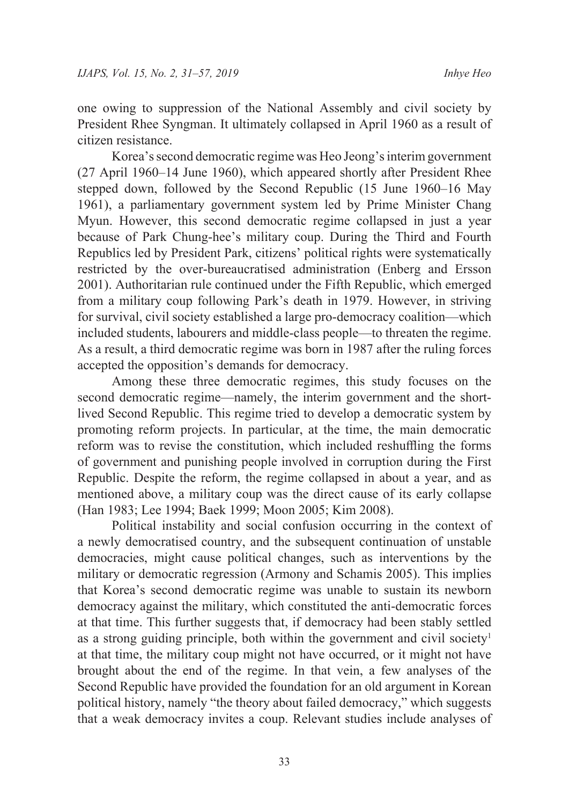one owing to suppression of the National Assembly and civil society by President Rhee Syngman. It ultimately collapsed in April 1960 as a result of citizen resistance.

Korea's second democratic regime was Heo Jeong's interim government (27 April 1960–14 June 1960), which appeared shortly after President Rhee stepped down, followed by the Second Republic (15 June 1960–16 May 1961), a parliamentary government system led by Prime Minister Chang Myun. However, this second democratic regime collapsed in just a year because of Park Chung-hee's military coup. During the Third and Fourth Republics led by President Park, citizens' political rights were systematically restricted by the over-bureaucratised administration (Enberg and Ersson 2001). Authoritarian rule continued under the Fifth Republic, which emerged from a military coup following Park's death in 1979. However, in striving for survival, civil society established a large pro-democracy coalition—which included students, labourers and middle-class people—to threaten the regime. As a result, a third democratic regime was born in 1987 after the ruling forces accepted the opposition's demands for democracy.

Among these three democratic regimes, this study focuses on the second democratic regime—namely, the interim government and the shortlived Second Republic. This regime tried to develop a democratic system by promoting reform projects. In particular, at the time, the main democratic reform was to revise the constitution, which included reshuffling the forms of government and punishing people involved in corruption during the First Republic. Despite the reform, the regime collapsed in about a year, and as mentioned above, a military coup was the direct cause of its early collapse (Han 1983; Lee 1994; Baek 1999; Moon 2005; Kim 2008).

Political instability and social confusion occurring in the context of a newly democratised country, and the subsequent continuation of unstable democracies, might cause political changes, such as interventions by the military or democratic regression (Armony and Schamis 2005). This implies that Korea's second democratic regime was unable to sustain its newborn democracy against the military, which constituted the anti-democratic forces at that time. This further suggests that, if democracy had been stably settled as a strong guiding principle, both within the government and civil society<sup>1</sup> at that time, the military coup might not have occurred, or it might not have brought about the end of the regime. In that vein, a few analyses of the Second Republic have provided the foundation for an old argument in Korean political history, namely "the theory about failed democracy," which suggests that a weak democracy invites a coup. Relevant studies include analyses of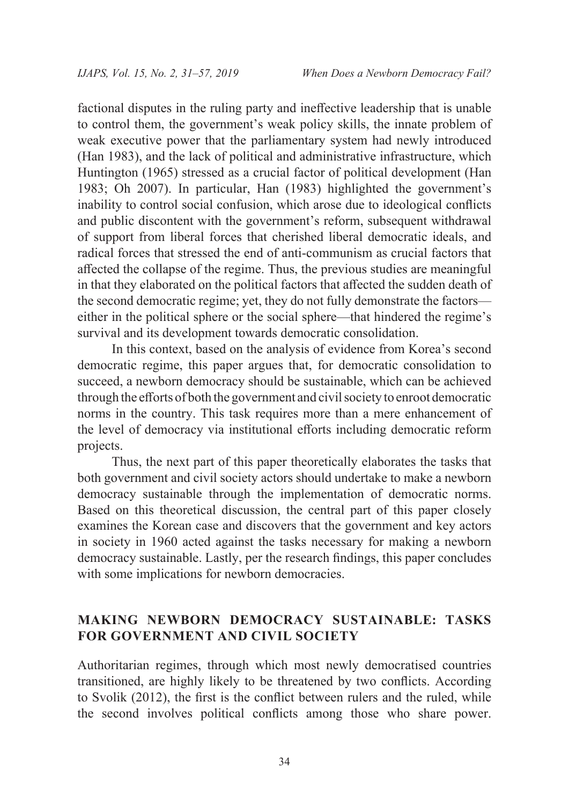factional disputes in the ruling party and ineffective leadership that is unable to control them, the government's weak policy skills, the innate problem of weak executive power that the parliamentary system had newly introduced (Han 1983), and the lack of political and administrative infrastructure, which Huntington (1965) stressed as a crucial factor of political development (Han 1983; Oh 2007). In particular, Han (1983) highlighted the government's inability to control social confusion, which arose due to ideological conflicts and public discontent with the government's reform, subsequent withdrawal of support from liberal forces that cherished liberal democratic ideals, and radical forces that stressed the end of anti-communism as crucial factors that affected the collapse of the regime. Thus, the previous studies are meaningful in that they elaborated on the political factors that affected the sudden death of the second democratic regime; yet, they do not fully demonstrate the factors either in the political sphere or the social sphere—that hindered the regime's survival and its development towards democratic consolidation.

In this context, based on the analysis of evidence from Korea's second democratic regime, this paper argues that, for democratic consolidation to succeed, a newborn democracy should be sustainable, which can be achieved through the efforts of both the government and civil society to enroot democratic norms in the country. This task requires more than a mere enhancement of the level of democracy via institutional efforts including democratic reform projects.

Thus, the next part of this paper theoretically elaborates the tasks that both government and civil society actors should undertake to make a newborn democracy sustainable through the implementation of democratic norms. Based on this theoretical discussion, the central part of this paper closely examines the Korean case and discovers that the government and key actors in society in 1960 acted against the tasks necessary for making a newborn democracy sustainable. Lastly, per the research findings, this paper concludes with some implications for newborn democracies.

# **MAKING NEWBORN DEMOCRACY SUSTAINABLE: TASKS FOR GOVERNMENT AND CIVIL SOCIETY**

Authoritarian regimes, through which most newly democratised countries transitioned, are highly likely to be threatened by two conflicts. According to Svolik (2012), the first is the conflict between rulers and the ruled, while the second involves political conflicts among those who share power.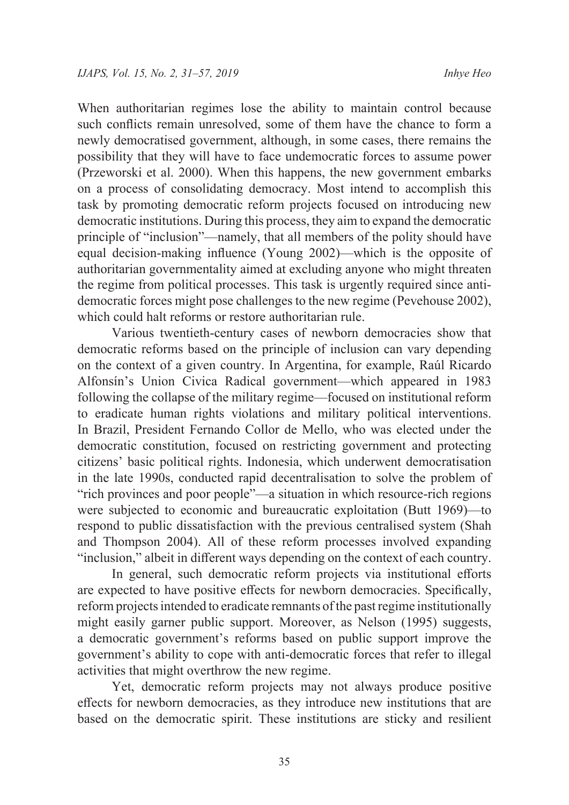When authoritarian regimes lose the ability to maintain control because such conflicts remain unresolved, some of them have the chance to form a newly democratised government, although, in some cases, there remains the possibility that they will have to face undemocratic forces to assume power (Przeworski et al. 2000). When this happens, the new government embarks on a process of consolidating democracy. Most intend to accomplish this task by promoting democratic reform projects focused on introducing new democratic institutions. During this process, they aim to expand the democratic principle of "inclusion"—namely, that all members of the polity should have equal decision-making influence (Young 2002)—which is the opposite of authoritarian governmentality aimed at excluding anyone who might threaten the regime from political processes. This task is urgently required since antidemocratic forces might pose challenges to the new regime (Pevehouse 2002), which could halt reforms or restore authoritarian rule.

Various twentieth-century cases of newborn democracies show that democratic reforms based on the principle of inclusion can vary depending on the context of a given country. In Argentina, for example, Raúl Ricardo Alfonsín's Union Civica Radical government—which appeared in 1983 following the collapse of the military regime—focused on institutional reform to eradicate human rights violations and military political interventions. In Brazil, President Fernando Collor de Mello, who was elected under the democratic constitution, focused on restricting government and protecting citizens' basic political rights. Indonesia, which underwent democratisation in the late 1990s, conducted rapid decentralisation to solve the problem of "rich provinces and poor people"—a situation in which resource-rich regions were subjected to economic and bureaucratic exploitation (Butt 1969)—to respond to public dissatisfaction with the previous centralised system (Shah and Thompson 2004). All of these reform processes involved expanding "inclusion," albeit in different ways depending on the context of each country.

In general, such democratic reform projects via institutional efforts are expected to have positive effects for newborn democracies. Specifically, reform projects intended to eradicate remnants of the past regime institutionally might easily garner public support. Moreover, as Nelson (1995) suggests, a democratic government's reforms based on public support improve the government's ability to cope with anti-democratic forces that refer to illegal activities that might overthrow the new regime.

Yet, democratic reform projects may not always produce positive effects for newborn democracies, as they introduce new institutions that are based on the democratic spirit. These institutions are sticky and resilient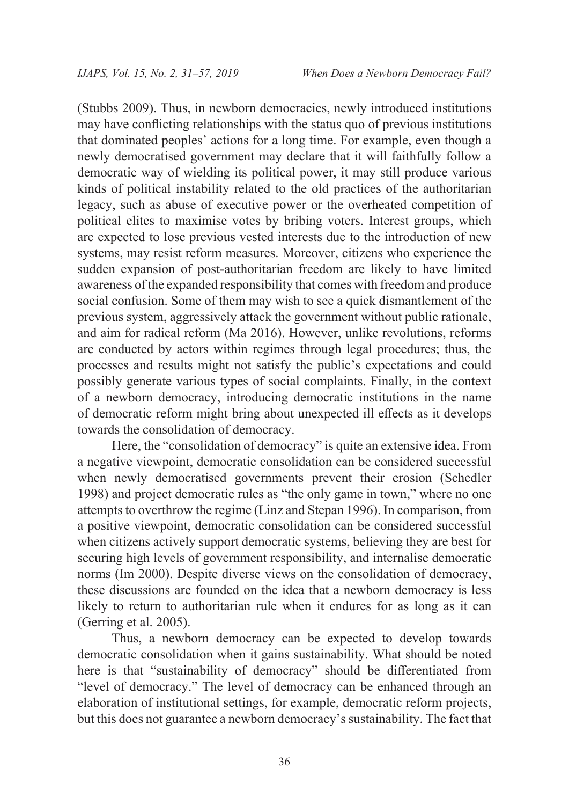(Stubbs 2009). Thus, in newborn democracies, newly introduced institutions may have conflicting relationships with the status quo of previous institutions that dominated peoples' actions for a long time. For example, even though a newly democratised government may declare that it will faithfully follow a democratic way of wielding its political power, it may still produce various kinds of political instability related to the old practices of the authoritarian legacy, such as abuse of executive power or the overheated competition of political elites to maximise votes by bribing voters. Interest groups, which are expected to lose previous vested interests due to the introduction of new systems, may resist reform measures. Moreover, citizens who experience the sudden expansion of post-authoritarian freedom are likely to have limited awareness of the expanded responsibility that comes with freedom and produce social confusion. Some of them may wish to see a quick dismantlement of the previous system, aggressively attack the government without public rationale, and aim for radical reform (Ma 2016). However, unlike revolutions, reforms are conducted by actors within regimes through legal procedures; thus, the processes and results might not satisfy the public's expectations and could possibly generate various types of social complaints. Finally, in the context of a newborn democracy, introducing democratic institutions in the name of democratic reform might bring about unexpected ill effects as it develops towards the consolidation of democracy.

Here, the "consolidation of democracy" is quite an extensive idea. From a negative viewpoint, democratic consolidation can be considered successful when newly democratised governments prevent their erosion (Schedler 1998) and project democratic rules as "the only game in town," where no one attempts to overthrow the regime (Linz and Stepan 1996). In comparison, from a positive viewpoint, democratic consolidation can be considered successful when citizens actively support democratic systems, believing they are best for securing high levels of government responsibility, and internalise democratic norms (Im 2000). Despite diverse views on the consolidation of democracy, these discussions are founded on the idea that a newborn democracy is less likely to return to authoritarian rule when it endures for as long as it can (Gerring et al. 2005).

Thus, a newborn democracy can be expected to develop towards democratic consolidation when it gains sustainability. What should be noted here is that "sustainability of democracy" should be differentiated from "level of democracy." The level of democracy can be enhanced through an elaboration of institutional settings, for example, democratic reform projects, but this does not guarantee a newborn democracy's sustainability. The fact that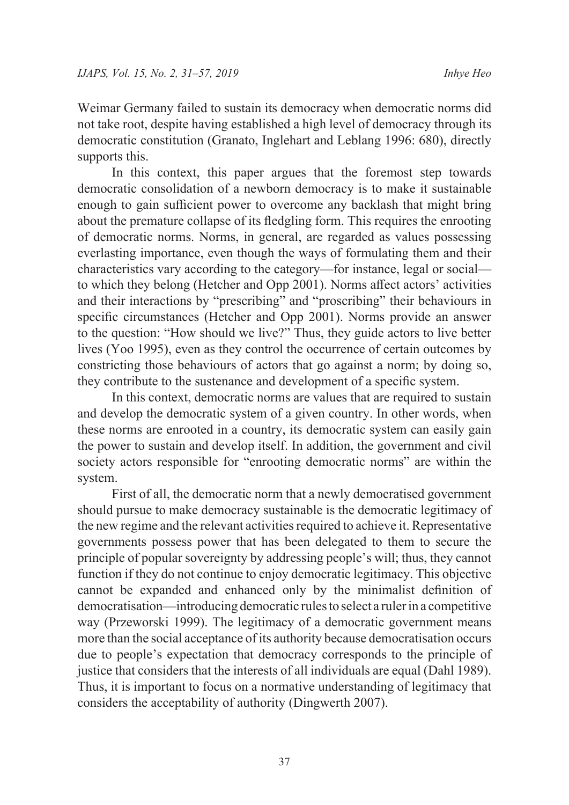Weimar Germany failed to sustain its democracy when democratic norms did not take root, despite having established a high level of democracy through its democratic constitution (Granato, Inglehart and Leblang 1996: 680), directly supports this.

In this context, this paper argues that the foremost step towards democratic consolidation of a newborn democracy is to make it sustainable enough to gain sufficient power to overcome any backlash that might bring about the premature collapse of its fledgling form. This requires the enrooting of democratic norms. Norms, in general, are regarded as values possessing everlasting importance, even though the ways of formulating them and their characteristics vary according to the category—for instance, legal or social to which they belong (Hetcher and Opp 2001). Norms affect actors' activities and their interactions by "prescribing" and "proscribing" their behaviours in specific circumstances (Hetcher and Opp 2001). Norms provide an answer to the question: "How should we live?" Thus, they guide actors to live better lives (Yoo 1995), even as they control the occurrence of certain outcomes by constricting those behaviours of actors that go against a norm; by doing so, they contribute to the sustenance and development of a specific system.

In this context, democratic norms are values that are required to sustain and develop the democratic system of a given country. In other words, when these norms are enrooted in a country, its democratic system can easily gain the power to sustain and develop itself. In addition, the government and civil society actors responsible for "enrooting democratic norms" are within the system.

First of all, the democratic norm that a newly democratised government should pursue to make democracy sustainable is the democratic legitimacy of the new regime and the relevant activities required to achieve it. Representative governments possess power that has been delegated to them to secure the principle of popular sovereignty by addressing people's will; thus, they cannot function if they do not continue to enjoy democratic legitimacy. This objective cannot be expanded and enhanced only by the minimalist definition of democratisation—introducing democratic rules to select a ruler in a competitive way (Przeworski 1999). The legitimacy of a democratic government means more than the social acceptance of its authority because democratisation occurs due to people's expectation that democracy corresponds to the principle of justice that considers that the interests of all individuals are equal (Dahl 1989). Thus, it is important to focus on a normative understanding of legitimacy that considers the acceptability of authority (Dingwerth 2007).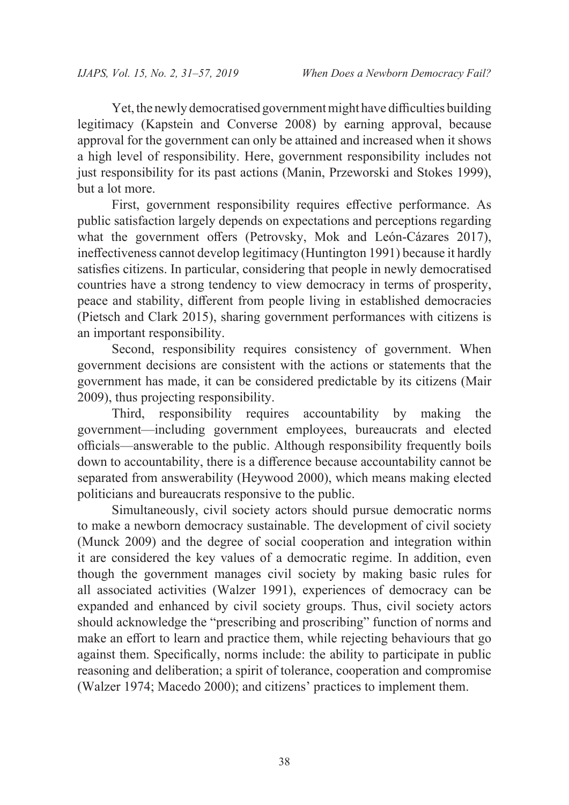Yet, the newly democratised government might have difficulties building legitimacy (Kapstein and Converse 2008) by earning approval, because approval for the government can only be attained and increased when it shows a high level of responsibility. Here, government responsibility includes not just responsibility for its past actions (Manin, Przeworski and Stokes 1999), but a lot more.

First, government responsibility requires effective performance. As public satisfaction largely depends on expectations and perceptions regarding what the government offers (Petrovsky, Mok and León-Cázares 2017), ineffectiveness cannot develop legitimacy (Huntington 1991) because it hardly satisfies citizens. In particular, considering that people in newly democratised countries have a strong tendency to view democracy in terms of prosperity, peace and stability, different from people living in established democracies (Pietsch and Clark 2015), sharing government performances with citizens is an important responsibility.

Second, responsibility requires consistency of government. When government decisions are consistent with the actions or statements that the government has made, it can be considered predictable by its citizens (Mair 2009), thus projecting responsibility.

Third, responsibility requires accountability by making the government—including government employees, bureaucrats and elected officials—answerable to the public. Although responsibility frequently boils down to accountability, there is a difference because accountability cannot be separated from answerability (Heywood 2000), which means making elected politicians and bureaucrats responsive to the public.

Simultaneously, civil society actors should pursue democratic norms to make a newborn democracy sustainable. The development of civil society (Munck 2009) and the degree of social cooperation and integration within it are considered the key values of a democratic regime. In addition, even though the government manages civil society by making basic rules for all associated activities (Walzer 1991), experiences of democracy can be expanded and enhanced by civil society groups. Thus, civil society actors should acknowledge the "prescribing and proscribing" function of norms and make an effort to learn and practice them, while rejecting behaviours that go against them. Specifically, norms include: the ability to participate in public reasoning and deliberation; a spirit of tolerance, cooperation and compromise (Walzer 1974; Macedo 2000); and citizens' practices to implement them.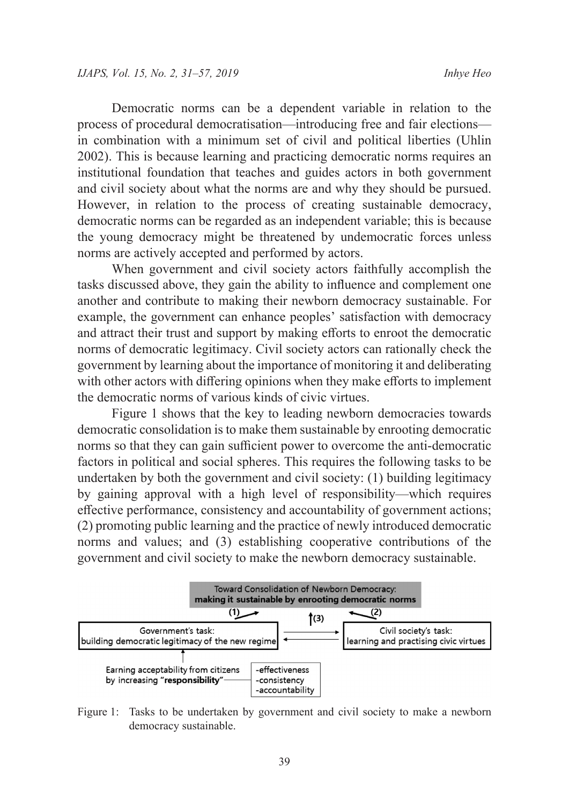Democratic norms can be a dependent variable in relation to the process of procedural democratisation—introducing free and fair elections in combination with a minimum set of civil and political liberties (Uhlin 2002). This is because learning and practicing democratic norms requires an institutional foundation that teaches and guides actors in both government and civil society about what the norms are and why they should be pursued. However, in relation to the process of creating sustainable democracy, democratic norms can be regarded as an independent variable; this is because the young democracy might be threatened by undemocratic forces unless norms are actively accepted and performed by actors.

When government and civil society actors faithfully accomplish the tasks discussed above, they gain the ability to influence and complement one another and contribute to making their newborn democracy sustainable. For example, the government can enhance peoples' satisfaction with democracy and attract their trust and support by making efforts to enroot the democratic norms of democratic legitimacy. Civil society actors can rationally check the government by learning about the importance of monitoring it and deliberating with other actors with differing opinions when they make efforts to implement the democratic norms of various kinds of civic virtues.

Figure 1 shows that the key to leading newborn democracies towards democratic consolidation is to make them sustainable by enrooting democratic norms so that they can gain sufficient power to overcome the anti-democratic factors in political and social spheres. This requires the following tasks to be undertaken by both the government and civil society: (1) building legitimacy by gaining approval with a high level of responsibility—which requires effective performance, consistency and accountability of government actions; (2) promoting public learning and the practice of newly introduced democratic norms and values; and (3) establishing cooperative contributions of the government and civil society to make the newborn democracy sustainable.



Figure 1: Tasks to be undertaken by government and civil society to make a newborn democracy sustainable.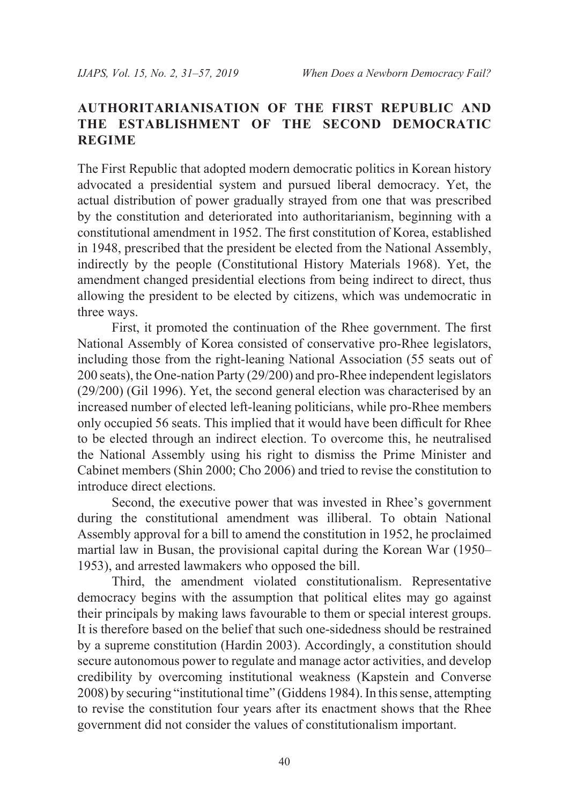# **AUTHORITARIANISATION OF THE FIRST REPUBLIC AND THE ESTABLISHMENT OF THE SECOND DEMOCRATIC REGIME**

The First Republic that adopted modern democratic politics in Korean history advocated a presidential system and pursued liberal democracy. Yet, the actual distribution of power gradually strayed from one that was prescribed by the constitution and deteriorated into authoritarianism, beginning with a constitutional amendment in 1952. The first constitution of Korea, established in 1948, prescribed that the president be elected from the National Assembly, indirectly by the people (Constitutional History Materials 1968). Yet, the amendment changed presidential elections from being indirect to direct, thus allowing the president to be elected by citizens, which was undemocratic in three ways.

First, it promoted the continuation of the Rhee government. The first National Assembly of Korea consisted of conservative pro-Rhee legislators, including those from the right-leaning National Association (55 seats out of 200 seats), the One-nation Party (29/200) and pro-Rhee independent legislators (29/200) (Gil 1996). Yet, the second general election was characterised by an increased number of elected left-leaning politicians, while pro-Rhee members only occupied 56 seats. This implied that it would have been difficult for Rhee to be elected through an indirect election. To overcome this, he neutralised the National Assembly using his right to dismiss the Prime Minister and Cabinet members (Shin 2000; Cho 2006) and tried to revise the constitution to introduce direct elections.

Second, the executive power that was invested in Rhee's government during the constitutional amendment was illiberal. To obtain National Assembly approval for a bill to amend the constitution in 1952, he proclaimed martial law in Busan, the provisional capital during the Korean War (1950– 1953), and arrested lawmakers who opposed the bill.

Third, the amendment violated constitutionalism. Representative democracy begins with the assumption that political elites may go against their principals by making laws favourable to them or special interest groups. It is therefore based on the belief that such one-sidedness should be restrained by a supreme constitution (Hardin 2003). Accordingly, a constitution should secure autonomous power to regulate and manage actor activities, and develop credibility by overcoming institutional weakness (Kapstein and Converse 2008) by securing "institutional time" (Giddens 1984). In this sense, attempting to revise the constitution four years after its enactment shows that the Rhee government did not consider the values of constitutionalism important.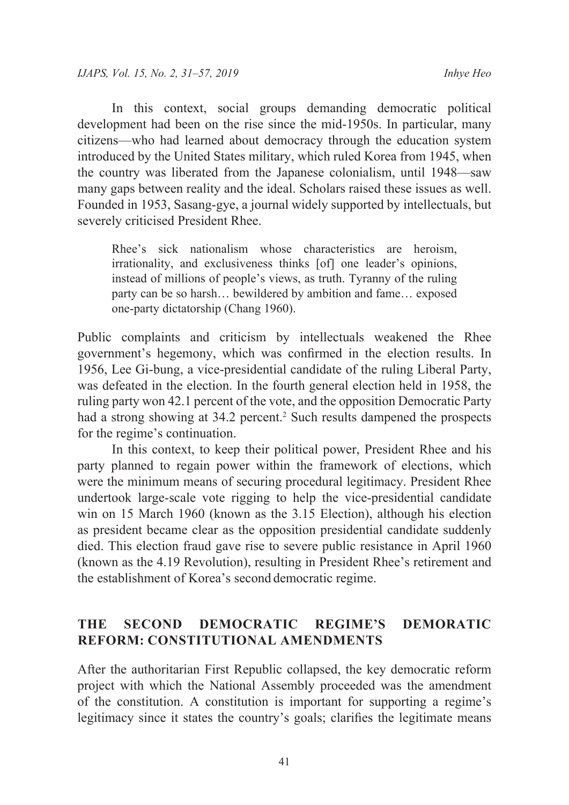In this context, social groups demanding democratic political development had been on the rise since the mid-1950s. In particular, many citizens—who had learned about democracy through the education system introduced by the United States military, which ruled Korea from 1945, when the country was liberated from the Japanese colonialism, until 1948—saw many gaps between reality and the ideal. Scholars raised these issues as well. Founded in 1953, Sasang-gye, a journal widely supported by intellectuals, but severely criticised President Rhee.

Rhee's sick nationalism whose characteristics are heroism, irrationality, and exclusiveness thinks [of] one leader's opinions, instead of millions of people's views, as truth. Tyranny of the ruling party can be so harsh… bewildered by ambition and fame… exposed one-party dictatorship (Chang 1960).

Public complaints and criticism by intellectuals weakened the Rhee government's hegemony, which was confirmed in the election results. In 1956, Lee Gi-bung, a vice-presidential candidate of the ruling Liberal Party, was defeated in the election. In the fourth general election held in 1958, the ruling party won 42.1 percent of the vote, and the opposition Democratic Party had a strong showing at 34.2 percent.<sup>2</sup> Such results dampened the prospects for the regime's continuation.

In this context, to keep their political power, President Rhee and his party planned to regain power within the framework of elections, which were the minimum means of securing procedural legitimacy. President Rhee undertook large-scale vote rigging to help the vice-presidential candidate win on 15 March 1960 (known as the 3.15 Election), although his election as president became clear as the opposition presidential candidate suddenly died. This election fraud gave rise to severe public resistance in April 1960 (known as the 4.19 Revolution), resulting in President Rhee's retirement and the establishment of Korea's second democratic regime.

# **THE SECOND DEMOCRATIC REGIME'S DEMORATIC REFORM: CONSTITUTIONAL AMENDMENTS**

After the authoritarian First Republic collapsed, the key democratic reform project with which the National Assembly proceeded was the amendment of the constitution. A constitution is important for supporting a regime's legitimacy since it states the country's goals; clarifies the legitimate means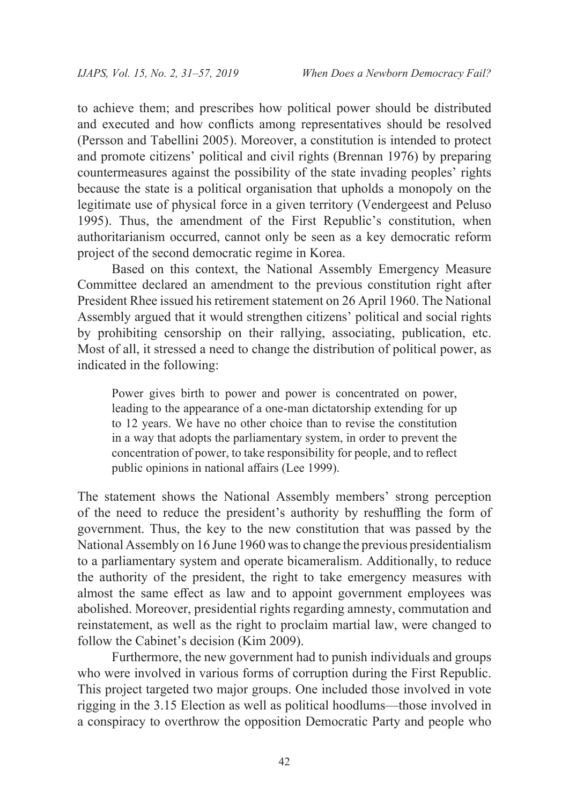to achieve them; and prescribes how political power should be distributed and executed and how conflicts among representatives should be resolved (Persson and Tabellini 2005). Moreover, a constitution is intended to protect and promote citizens' political and civil rights (Brennan 1976) by preparing countermeasures against the possibility of the state invading peoples' rights because the state is a political organisation that upholds a monopoly on the legitimate use of physical force in a given territory (Vendergeest and Peluso 1995). Thus, the amendment of the First Republic's constitution, when authoritarianism occurred, cannot only be seen as a key democratic reform project of the second democratic regime in Korea.

Based on this context, the National Assembly Emergency Measure Committee declared an amendment to the previous constitution right after President Rhee issued his retirement statement on 26 April 1960. The National Assembly argued that it would strengthen citizens' political and social rights by prohibiting censorship on their rallying, associating, publication, etc. Most of all, it stressed a need to change the distribution of political power, as indicated in the following:

Power gives birth to power and power is concentrated on power, leading to the appearance of a one-man dictatorship extending for up to 12 years. We have no other choice than to revise the constitution in a way that adopts the parliamentary system, in order to prevent the concentration of power, to take responsibility for people, and to reflect public opinions in national affairs (Lee 1999).

The statement shows the National Assembly members' strong perception of the need to reduce the president's authority by reshuffling the form of government. Thus, the key to the new constitution that was passed by the National Assembly on 16 June 1960 was to change the previous presidentialism to a parliamentary system and operate bicameralism. Additionally, to reduce the authority of the president, the right to take emergency measures with almost the same effect as law and to appoint government employees was abolished. Moreover, presidential rights regarding amnesty, commutation and reinstatement, as well as the right to proclaim martial law, were changed to follow the Cabinet's decision (Kim 2009).

Furthermore, the new government had to punish individuals and groups who were involved in various forms of corruption during the First Republic. This project targeted two major groups. One included those involved in vote rigging in the 3.15 Election as well as political hoodlums—those involved in a conspiracy to overthrow the opposition Democratic Party and people who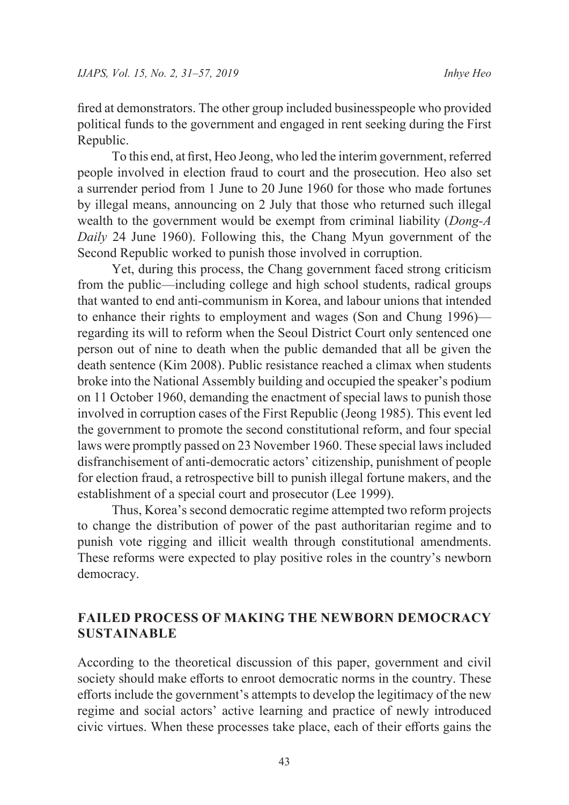fired at demonstrators. The other group included businesspeople who provided political funds to the government and engaged in rent seeking during the First Republic.

To this end, at first, Heo Jeong, who led the interim government, referred people involved in election fraud to court and the prosecution. Heo also set a surrender period from 1 June to 20 June 1960 for those who made fortunes by illegal means, announcing on 2 July that those who returned such illegal wealth to the government would be exempt from criminal liability (*Dong-A Daily* 24 June 1960). Following this, the Chang Myun government of the Second Republic worked to punish those involved in corruption.

Yet, during this process, the Chang government faced strong criticism from the public—including college and high school students, radical groups that wanted to end anti-communism in Korea, and labour unions that intended to enhance their rights to employment and wages (Son and Chung 1996) regarding its will to reform when the Seoul District Court only sentenced one person out of nine to death when the public demanded that all be given the death sentence (Kim 2008). Public resistance reached a climax when students broke into the National Assembly building and occupied the speaker's podium on 11 October 1960, demanding the enactment of special laws to punish those involved in corruption cases of the First Republic (Jeong 1985). This event led the government to promote the second constitutional reform, and four special laws were promptly passed on 23 November 1960. These special laws included disfranchisement of anti-democratic actors' citizenship, punishment of people for election fraud, a retrospective bill to punish illegal fortune makers, and the establishment of a special court and prosecutor (Lee 1999).

Thus, Korea's second democratic regime attempted two reform projects to change the distribution of power of the past authoritarian regime and to punish vote rigging and illicit wealth through constitutional amendments. These reforms were expected to play positive roles in the country's newborn democracy.

# **FAILED PROCESS OF MAKING THE NEWBORN DEMOCRACY SUSTAINABLE**

According to the theoretical discussion of this paper, government and civil society should make efforts to enroot democratic norms in the country. These efforts include the government's attempts to develop the legitimacy of the new regime and social actors' active learning and practice of newly introduced civic virtues. When these processes take place, each of their efforts gains the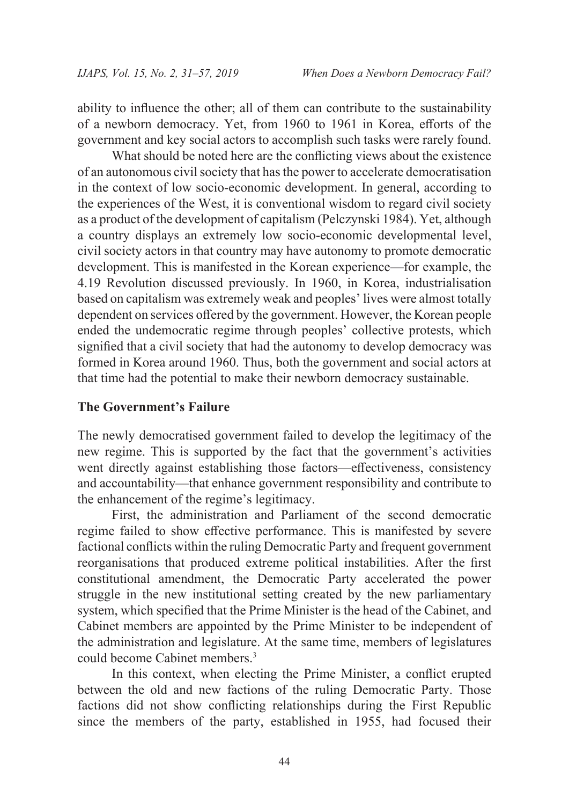ability to influence the other; all of them can contribute to the sustainability of a newborn democracy. Yet, from 1960 to 1961 in Korea, efforts of the government and key social actors to accomplish such tasks were rarely found.

What should be noted here are the conflicting views about the existence of an autonomous civil society that has the power to accelerate democratisation in the context of low socio-economic development. In general, according to the experiences of the West, it is conventional wisdom to regard civil society as a product of the development of capitalism (Pelczynski 1984). Yet, although a country displays an extremely low socio-economic developmental level, civil society actors in that country may have autonomy to promote democratic development. This is manifested in the Korean experience—for example, the 4.19 Revolution discussed previously. In 1960, in Korea, industrialisation based on capitalism was extremely weak and peoples' lives were almost totally dependent on services offered by the government. However, the Korean people ended the undemocratic regime through peoples' collective protests, which signified that a civil society that had the autonomy to develop democracy was formed in Korea around 1960. Thus, both the government and social actors at that time had the potential to make their newborn democracy sustainable.

#### **The Government's Failure**

The newly democratised government failed to develop the legitimacy of the new regime. This is supported by the fact that the government's activities went directly against establishing those factors—effectiveness, consistency and accountability—that enhance government responsibility and contribute to the enhancement of the regime's legitimacy.

First, the administration and Parliament of the second democratic regime failed to show effective performance. This is manifested by severe factional conflicts within the ruling Democratic Party and frequent government reorganisations that produced extreme political instabilities. After the first constitutional amendment, the Democratic Party accelerated the power struggle in the new institutional setting created by the new parliamentary system, which specified that the Prime Minister is the head of the Cabinet, and Cabinet members are appointed by the Prime Minister to be independent of the administration and legislature. At the same time, members of legislatures could become Cabinet members.3

In this context, when electing the Prime Minister, a conflict erupted between the old and new factions of the ruling Democratic Party. Those factions did not show conflicting relationships during the First Republic since the members of the party, established in 1955, had focused their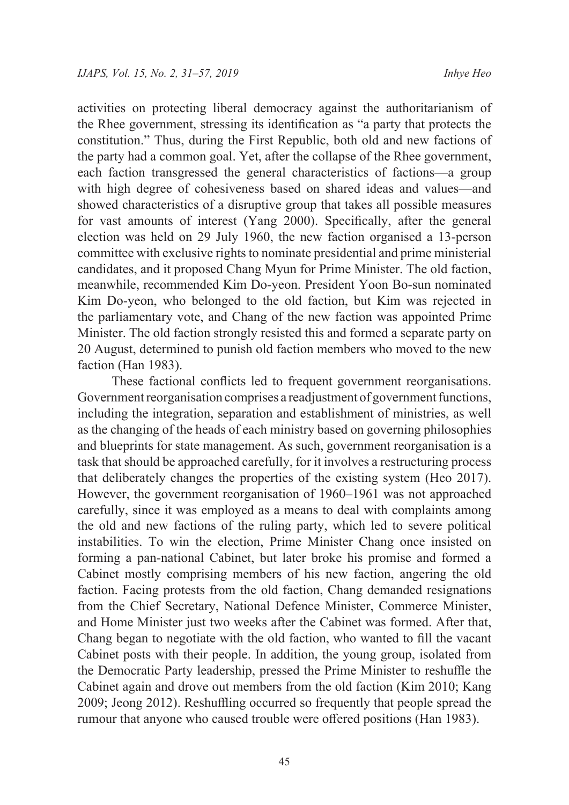activities on protecting liberal democracy against the authoritarianism of the Rhee government, stressing its identification as "a party that protects the constitution." Thus, during the First Republic, both old and new factions of the party had a common goal. Yet, after the collapse of the Rhee government, each faction transgressed the general characteristics of factions—a group with high degree of cohesiveness based on shared ideas and values—and showed characteristics of a disruptive group that takes all possible measures for vast amounts of interest (Yang 2000). Specifically, after the general election was held on 29 July 1960, the new faction organised a 13-person committee with exclusive rights to nominate presidential and prime ministerial candidates, and it proposed Chang Myun for Prime Minister. The old faction, meanwhile, recommended Kim Do-yeon. President Yoon Bo-sun nominated Kim Do-yeon, who belonged to the old faction, but Kim was rejected in the parliamentary vote, and Chang of the new faction was appointed Prime Minister. The old faction strongly resisted this and formed a separate party on 20 August, determined to punish old faction members who moved to the new faction (Han 1983).

These factional conflicts led to frequent government reorganisations. Government reorganisation comprises a readjustment of government functions, including the integration, separation and establishment of ministries, as well as the changing of the heads of each ministry based on governing philosophies and blueprints for state management. As such, government reorganisation is a task that should be approached carefully, for it involves a restructuring process that deliberately changes the properties of the existing system (Heo 2017). However, the government reorganisation of 1960–1961 was not approached carefully, since it was employed as a means to deal with complaints among the old and new factions of the ruling party, which led to severe political instabilities. To win the election, Prime Minister Chang once insisted on forming a pan-national Cabinet, but later broke his promise and formed a Cabinet mostly comprising members of his new faction, angering the old faction. Facing protests from the old faction, Chang demanded resignations from the Chief Secretary, National Defence Minister, Commerce Minister, and Home Minister just two weeks after the Cabinet was formed. After that, Chang began to negotiate with the old faction, who wanted to fill the vacant Cabinet posts with their people. In addition, the young group, isolated from the Democratic Party leadership, pressed the Prime Minister to reshuffle the Cabinet again and drove out members from the old faction (Kim 2010; Kang 2009; Jeong 2012). Reshuffling occurred so frequently that people spread the rumour that anyone who caused trouble were offered positions (Han 1983).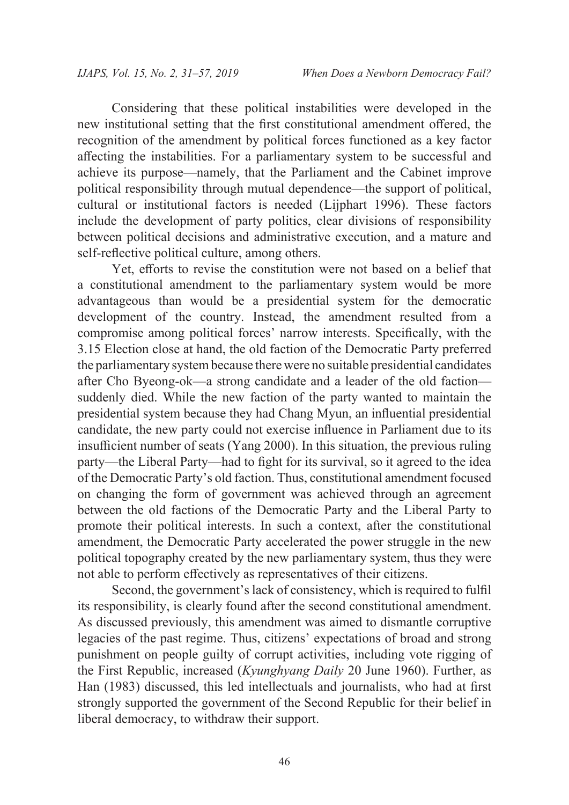Considering that these political instabilities were developed in the new institutional setting that the first constitutional amendment offered, the recognition of the amendment by political forces functioned as a key factor affecting the instabilities. For a parliamentary system to be successful and achieve its purpose—namely, that the Parliament and the Cabinet improve political responsibility through mutual dependence—the support of political, cultural or institutional factors is needed (Lijphart 1996). These factors include the development of party politics, clear divisions of responsibility between political decisions and administrative execution, and a mature and self-reflective political culture, among others.

Yet, efforts to revise the constitution were not based on a belief that a constitutional amendment to the parliamentary system would be more advantageous than would be a presidential system for the democratic development of the country. Instead, the amendment resulted from a compromise among political forces' narrow interests. Specifically, with the 3.15 Election close at hand, the old faction of the Democratic Party preferred the parliamentary system because there were no suitable presidential candidates after Cho Byeong-ok—a strong candidate and a leader of the old faction suddenly died. While the new faction of the party wanted to maintain the presidential system because they had Chang Myun, an influential presidential candidate, the new party could not exercise influence in Parliament due to its insufficient number of seats (Yang 2000). In this situation, the previous ruling party—the Liberal Party—had to fight for its survival, so it agreed to the idea of the Democratic Party's old faction. Thus, constitutional amendment focused on changing the form of government was achieved through an agreement between the old factions of the Democratic Party and the Liberal Party to promote their political interests. In such a context, after the constitutional amendment, the Democratic Party accelerated the power struggle in the new political topography created by the new parliamentary system, thus they were not able to perform effectively as representatives of their citizens.

Second, the government's lack of consistency, which is required to fulfil its responsibility, is clearly found after the second constitutional amendment. As discussed previously, this amendment was aimed to dismantle corruptive legacies of the past regime. Thus, citizens' expectations of broad and strong punishment on people guilty of corrupt activities, including vote rigging of the First Republic, increased (*Kyunghyang Daily* 20 June 1960). Further, as Han (1983) discussed, this led intellectuals and journalists, who had at first strongly supported the government of the Second Republic for their belief in liberal democracy, to withdraw their support.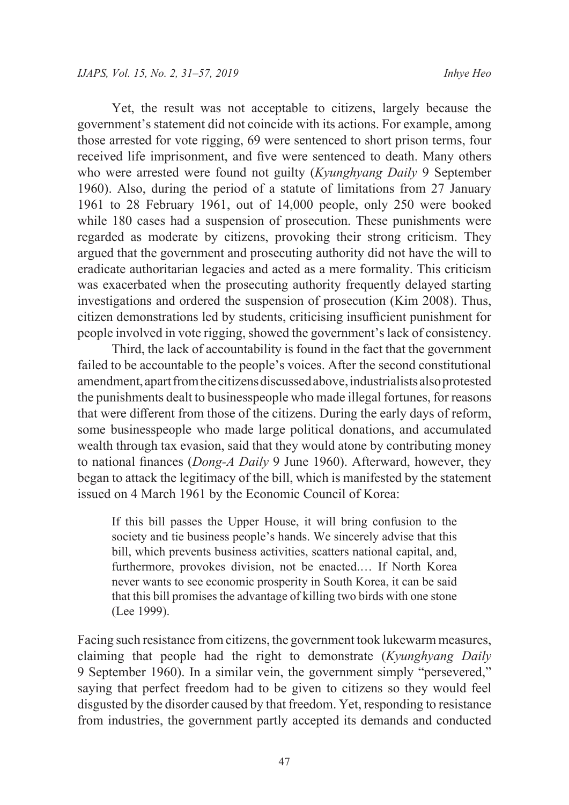Yet, the result was not acceptable to citizens, largely because the government's statement did not coincide with its actions. For example, among those arrested for vote rigging, 69 were sentenced to short prison terms, four received life imprisonment, and five were sentenced to death. Many others who were arrested were found not guilty (*Kyunghyang Daily* 9 September 1960). Also, during the period of a statute of limitations from 27 January 1961 to 28 February 1961, out of 14,000 people, only 250 were booked while 180 cases had a suspension of prosecution. These punishments were regarded as moderate by citizens, provoking their strong criticism. They argued that the government and prosecuting authority did not have the will to eradicate authoritarian legacies and acted as a mere formality. This criticism was exacerbated when the prosecuting authority frequently delayed starting investigations and ordered the suspension of prosecution (Kim 2008). Thus, citizen demonstrations led by students, criticising insufficient punishment for people involved in vote rigging, showed the government's lack of consistency.

Third, the lack of accountability is found in the fact that the government failed to be accountable to the people's voices. After the second constitutional amendment, apart from the citizens discussed above, industrialists also protested the punishments dealt to businesspeople who made illegal fortunes, for reasons that were different from those of the citizens. During the early days of reform, some businesspeople who made large political donations, and accumulated wealth through tax evasion, said that they would atone by contributing money to national finances (*Dong-A Daily* 9 June 1960). Afterward, however, they began to attack the legitimacy of the bill, which is manifested by the statement issued on 4 March 1961 by the Economic Council of Korea:

If this bill passes the Upper House, it will bring confusion to the society and tie business people's hands. We sincerely advise that this bill, which prevents business activities, scatters national capital, and, furthermore, provokes division, not be enacted.… If North Korea never wants to see economic prosperity in South Korea, it can be said that this bill promises the advantage of killing two birds with one stone (Lee 1999).

Facing such resistance from citizens, the government took lukewarm measures, claiming that people had the right to demonstrate (*Kyunghyang Daily* 9 September 1960). In a similar vein, the government simply "persevered," saying that perfect freedom had to be given to citizens so they would feel disgusted by the disorder caused by that freedom. Yet, responding to resistance from industries, the government partly accepted its demands and conducted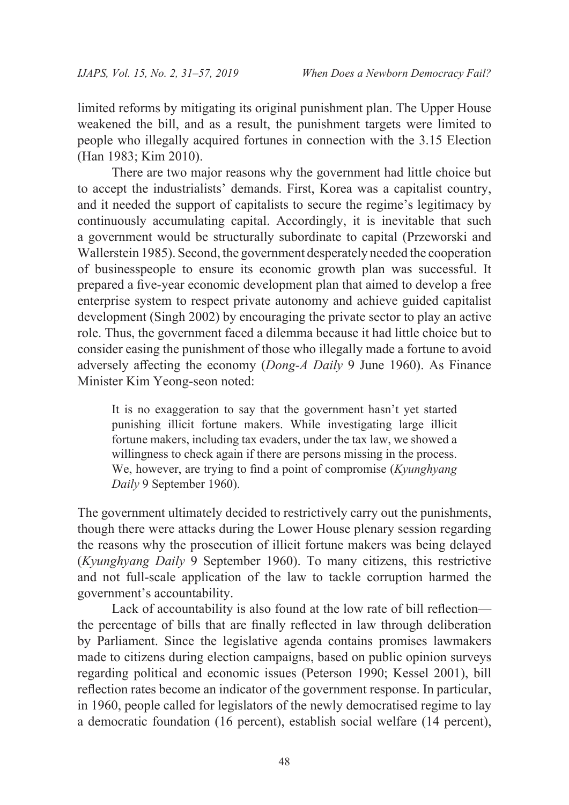limited reforms by mitigating its original punishment plan. The Upper House weakened the bill, and as a result, the punishment targets were limited to people who illegally acquired fortunes in connection with the 3.15 Election (Han 1983; Kim 2010).

There are two major reasons why the government had little choice but to accept the industrialists' demands. First, Korea was a capitalist country, and it needed the support of capitalists to secure the regime's legitimacy by continuously accumulating capital. Accordingly, it is inevitable that such a government would be structurally subordinate to capital (Przeworski and Wallerstein 1985). Second, the government desperately needed the cooperation of businesspeople to ensure its economic growth plan was successful. It prepared a five-year economic development plan that aimed to develop a free enterprise system to respect private autonomy and achieve guided capitalist development (Singh 2002) by encouraging the private sector to play an active role. Thus, the government faced a dilemma because it had little choice but to consider easing the punishment of those who illegally made a fortune to avoid adversely affecting the economy (*Dong-A Daily* 9 June 1960). As Finance Minister Kim Yeong-seon noted:

It is no exaggeration to say that the government hasn't yet started punishing illicit fortune makers. While investigating large illicit fortune makers, including tax evaders, under the tax law, we showed a willingness to check again if there are persons missing in the process. We, however, are trying to find a point of compromise (*Kyunghyang Daily* 9 September 1960).

The government ultimately decided to restrictively carry out the punishments, though there were attacks during the Lower House plenary session regarding the reasons why the prosecution of illicit fortune makers was being delayed (*Kyunghyang Daily* 9 September 1960). To many citizens, this restrictive and not full-scale application of the law to tackle corruption harmed the government's accountability.

Lack of accountability is also found at the low rate of bill reflection the percentage of bills that are finally reflected in law through deliberation by Parliament. Since the legislative agenda contains promises lawmakers made to citizens during election campaigns, based on public opinion surveys regarding political and economic issues (Peterson 1990; Kessel 2001), bill reflection rates become an indicator of the government response. In particular, in 1960, people called for legislators of the newly democratised regime to lay a democratic foundation (16 percent), establish social welfare (14 percent),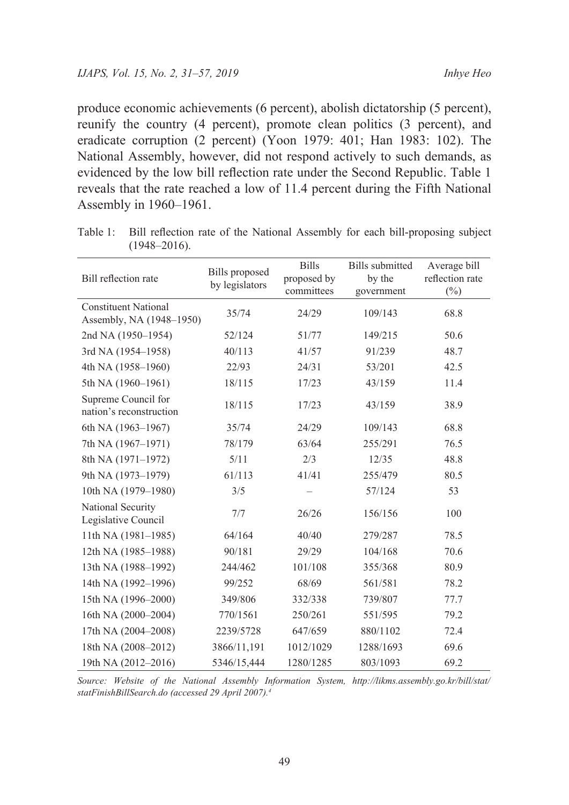produce economic achievements (6 percent), abolish dictatorship (5 percent), reunify the country (4 percent), promote clean politics (3 percent), and eradicate corruption (2 percent) (Yoon 1979: 401; Han 1983: 102). The National Assembly, however, did not respond actively to such demands, as evidenced by the low bill reflection rate under the Second Republic. Table 1 reveals that the rate reached a low of 11.4 percent during the Fifth National Assembly in 1960–1961.

| Bill reflection rate                                    | <b>Bills</b> proposed<br>by legislators | <b>Bills</b><br>proposed by<br>committees | <b>Bills</b> submitted<br>by the<br>government | Average bill<br>reflection rate<br>$(\%)$ |
|---------------------------------------------------------|-----------------------------------------|-------------------------------------------|------------------------------------------------|-------------------------------------------|
| <b>Constituent National</b><br>Assembly, NA (1948–1950) | 35/74                                   | 24/29                                     | 109/143                                        | 68.8                                      |
| 2nd NA (1950-1954)                                      | 52/124                                  | 51/77                                     | 149/215                                        | 50.6                                      |
| 3rd NA (1954-1958)                                      | 40/113                                  | 41/57                                     | 91/239                                         | 48.7                                      |
| 4th NA (1958-1960)                                      | 22/93                                   | 24/31                                     | 53/201                                         | 42.5                                      |
| 5th NA (1960-1961)                                      | 18/115                                  | 17/23                                     | 43/159                                         | 11.4                                      |
| Supreme Council for<br>nation's reconstruction          | 18/115                                  | 17/23                                     | 43/159                                         | 38.9                                      |
| 6th NA (1963–1967)                                      | 35/74                                   | 24/29                                     | 109/143                                        | 68.8                                      |
| 7th NA (1967-1971)                                      | 78/179                                  | 63/64                                     | 255/291                                        | 76.5                                      |
| 8th NA (1971-1972)                                      | 5/11                                    | 2/3                                       | 12/35                                          | 48.8                                      |
| 9th NA (1973-1979)                                      | 61/113                                  | 41/41                                     | 255/479                                        | 80.5                                      |
| 10th NA (1979-1980)                                     | 3/5                                     |                                           | 57/124                                         | 53                                        |
| National Security<br>Legislative Council                | 7/7                                     | 26/26                                     | 156/156                                        | 100                                       |
| 11th NA (1981-1985)                                     | 64/164                                  | 40/40                                     | 279/287                                        | 78.5                                      |
| 12th NA (1985-1988)                                     | 90/181                                  | 29/29                                     | 104/168                                        | 70.6                                      |
| 13th NA (1988-1992)                                     | 244/462                                 | 101/108                                   | 355/368                                        | 80.9                                      |
| 14th NA (1992-1996)                                     | 99/252                                  | 68/69                                     | 561/581                                        | 78.2                                      |
| 15th NA (1996-2000)                                     | 349/806                                 | 332/338                                   | 739/807                                        | 77.7                                      |
| 16th NA (2000-2004)                                     | 770/1561                                | 250/261                                   | 551/595                                        | 79.2                                      |
| 17th NA (2004-2008)                                     | 2239/5728                               | 647/659                                   | 880/1102                                       | 72.4                                      |
| 18th NA (2008-2012)                                     | 3866/11,191                             | 1012/1029                                 | 1288/1693                                      | 69.6                                      |
| 19th NA (2012-2016)                                     | 5346/15,444                             | 1280/1285                                 | 803/1093                                       | 69.2                                      |

Table 1: Bill reflection rate of the National Assembly for each bill-proposing subject (1948–2016).

*Source: Website of the National Assembly Information System, http://likms.assembly.go.kr/bill/stat/ statFinishBillSearch.do (accessed 29 April 2007).4*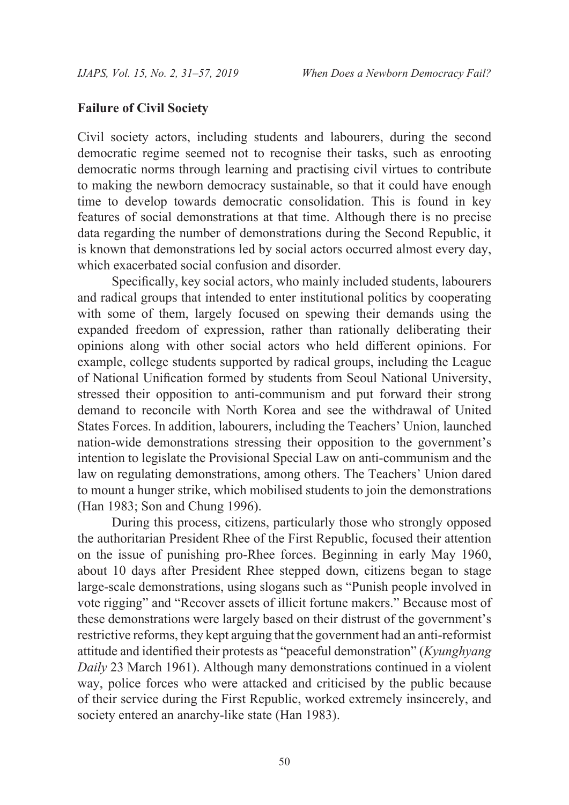### **Failure of Civil Society**

Civil society actors, including students and labourers, during the second democratic regime seemed not to recognise their tasks, such as enrooting democratic norms through learning and practising civil virtues to contribute to making the newborn democracy sustainable, so that it could have enough time to develop towards democratic consolidation. This is found in key features of social demonstrations at that time. Although there is no precise data regarding the number of demonstrations during the Second Republic, it is known that demonstrations led by social actors occurred almost every day, which exacerbated social confusion and disorder.

Specifically, key social actors, who mainly included students, labourers and radical groups that intended to enter institutional politics by cooperating with some of them, largely focused on spewing their demands using the expanded freedom of expression, rather than rationally deliberating their opinions along with other social actors who held different opinions. For example, college students supported by radical groups, including the League of National Unification formed by students from Seoul National University, stressed their opposition to anti-communism and put forward their strong demand to reconcile with North Korea and see the withdrawal of United States Forces. In addition, labourers, including the Teachers' Union, launched nation-wide demonstrations stressing their opposition to the government's intention to legislate the Provisional Special Law on anti-communism and the law on regulating demonstrations, among others. The Teachers' Union dared to mount a hunger strike, which mobilised students to join the demonstrations (Han 1983; Son and Chung 1996).

During this process, citizens, particularly those who strongly opposed the authoritarian President Rhee of the First Republic, focused their attention on the issue of punishing pro-Rhee forces. Beginning in early May 1960, about 10 days after President Rhee stepped down, citizens began to stage large-scale demonstrations, using slogans such as "Punish people involved in vote rigging" and "Recover assets of illicit fortune makers." Because most of these demonstrations were largely based on their distrust of the government's restrictive reforms, they kept arguing that the government had an anti-reformist attitude and identified their protests as "peaceful demonstration" (*Kyunghyang Daily* 23 March 1961). Although many demonstrations continued in a violent way, police forces who were attacked and criticised by the public because of their service during the First Republic, worked extremely insincerely, and society entered an anarchy-like state (Han 1983).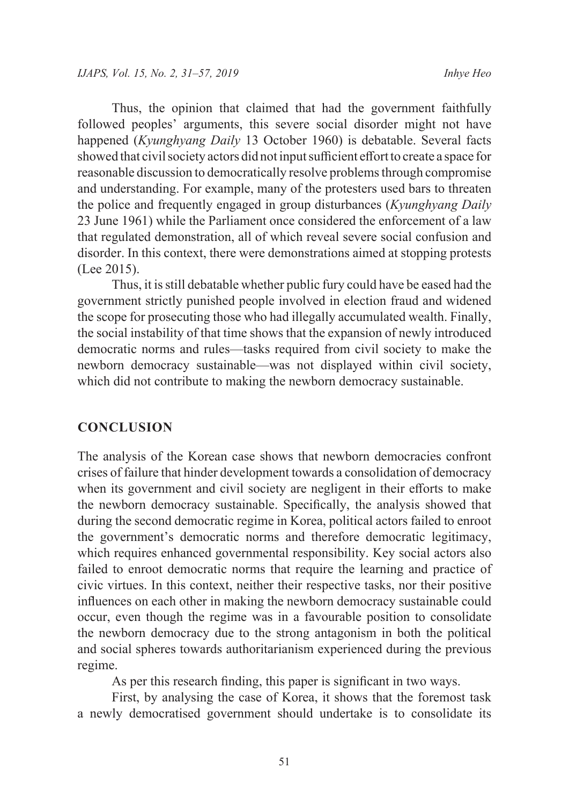Thus, the opinion that claimed that had the government faithfully followed peoples' arguments, this severe social disorder might not have happened (*Kyunghyang Daily* 13 October 1960) is debatable. Several facts showed that civil society actors did not input sufficient effort to create a space for reasonable discussion to democratically resolve problems through compromise and understanding. For example, many of the protesters used bars to threaten the police and frequently engaged in group disturbances (*Kyunghyang Daily* 23 June 1961) while the Parliament once considered the enforcement of a law that regulated demonstration, all of which reveal severe social confusion and disorder. In this context, there were demonstrations aimed at stopping protests (Lee 2015).

Thus, it is still debatable whether public fury could have be eased had the government strictly punished people involved in election fraud and widened the scope for prosecuting those who had illegally accumulated wealth. Finally, the social instability of that time shows that the expansion of newly introduced democratic norms and rules—tasks required from civil society to make the newborn democracy sustainable—was not displayed within civil society, which did not contribute to making the newborn democracy sustainable.

#### **CONCLUSION**

The analysis of the Korean case shows that newborn democracies confront crises of failure that hinder development towards a consolidation of democracy when its government and civil society are negligent in their efforts to make the newborn democracy sustainable. Specifically, the analysis showed that during the second democratic regime in Korea, political actors failed to enroot the government's democratic norms and therefore democratic legitimacy, which requires enhanced governmental responsibility. Key social actors also failed to enroot democratic norms that require the learning and practice of civic virtues. In this context, neither their respective tasks, nor their positive influences on each other in making the newborn democracy sustainable could occur, even though the regime was in a favourable position to consolidate the newborn democracy due to the strong antagonism in both the political and social spheres towards authoritarianism experienced during the previous regime.

As per this research finding, this paper is significant in two ways.

First, by analysing the case of Korea, it shows that the foremost task a newly democratised government should undertake is to consolidate its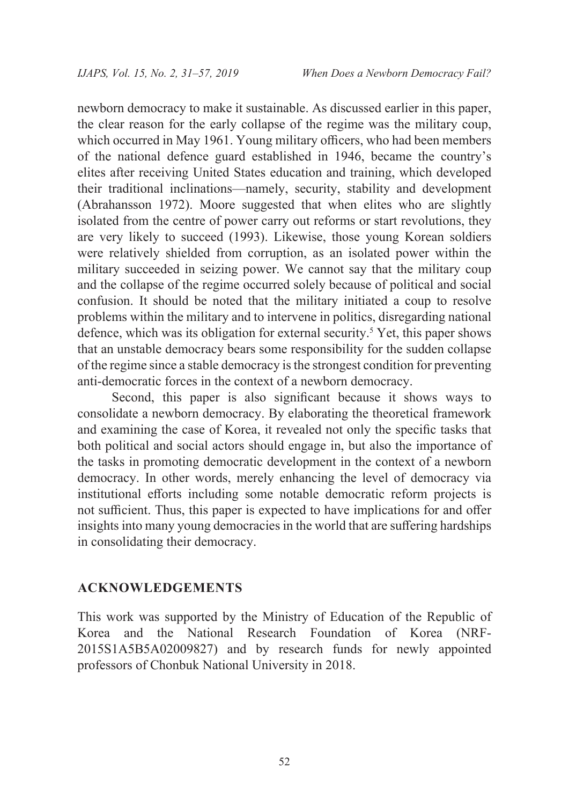newborn democracy to make it sustainable. As discussed earlier in this paper, the clear reason for the early collapse of the regime was the military coup, which occurred in May 1961. Young military officers, who had been members of the national defence guard established in 1946, became the country's elites after receiving United States education and training, which developed their traditional inclinations—namely, security, stability and development (Abrahansson 1972). Moore suggested that when elites who are slightly isolated from the centre of power carry out reforms or start revolutions, they are very likely to succeed (1993). Likewise, those young Korean soldiers were relatively shielded from corruption, as an isolated power within the military succeeded in seizing power. We cannot say that the military coup and the collapse of the regime occurred solely because of political and social confusion. It should be noted that the military initiated a coup to resolve problems within the military and to intervene in politics, disregarding national defence, which was its obligation for external security.<sup>5</sup> Yet, this paper shows that an unstable democracy bears some responsibility for the sudden collapse of the regime since a stable democracy is the strongest condition for preventing anti-democratic forces in the context of a newborn democracy.

Second, this paper is also significant because it shows ways to consolidate a newborn democracy. By elaborating the theoretical framework and examining the case of Korea, it revealed not only the specific tasks that both political and social actors should engage in, but also the importance of the tasks in promoting democratic development in the context of a newborn democracy. In other words, merely enhancing the level of democracy via institutional efforts including some notable democratic reform projects is not sufficient. Thus, this paper is expected to have implications for and offer insights into many young democracies in the world that are suffering hardships in consolidating their democracy.

#### **ACKNOWLEDGEMENTS**

This work was supported by the Ministry of Education of the Republic of Korea and the National Research Foundation of Korea (NRF-2015S1A5B5A02009827) and by research funds for newly appointed professors of Chonbuk National University in 2018.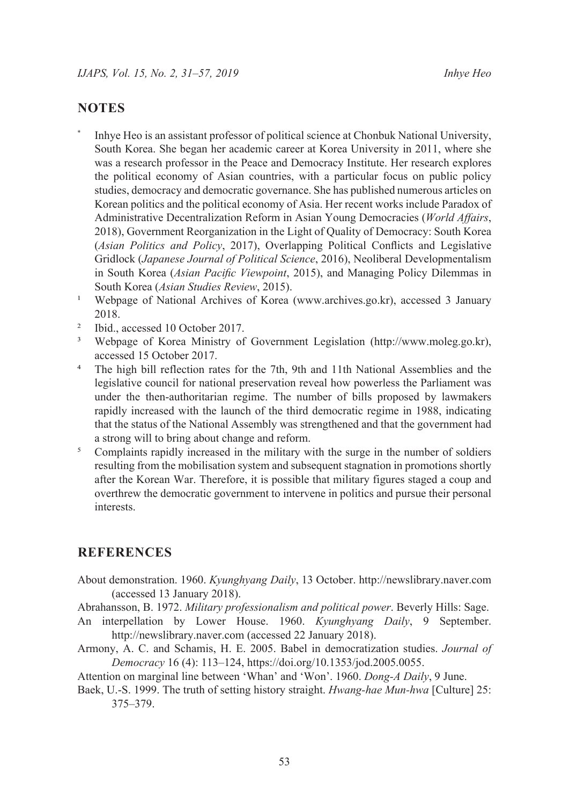#### **NOTES**

- Inhye Heo is an assistant professor of political science at Chonbuk National University, South Korea. She began her academic career at Korea University in 2011, where she was a research professor in the Peace and Democracy Institute. Her research explores the political economy of Asian countries, with a particular focus on public policy studies, democracy and democratic governance. She has published numerous articles on Korean politics and the political economy of Asia. Her recent works include Paradox of Administrative Decentralization Reform in Asian Young Democracies (*World Affairs*, 2018), Government Reorganization in the Light of Quality of Democracy: South Korea (*Asian Politics and Policy*, 2017), Overlapping Political Conflicts and Legislative Gridlock (*Japanese Journal of Political Science*, 2016), Neoliberal Developmentalism in South Korea (*Asian Pacific Viewpoint*, 2015), and Managing Policy Dilemmas in South Korea (*Asian Studies Review*, 2015).
- 1 Webpage of National Archives of Korea ([www.archives.go.kr\)](http://www.archives.go.kr), accessed 3 January 2018.
- <sup>2</sup> Ibid., accessed 10 October 2017.
- 3 Webpage of Korea Ministry of Government Legislation (<http://www.moleg.go.kr>), accessed 15 October 2017.
- <sup>4</sup> The high bill reflection rates for the 7th, 9th and 11th National Assemblies and the legislative council for national preservation reveal how powerless the Parliament was under the then-authoritarian regime. The number of bills proposed by lawmakers rapidly increased with the launch of the third democratic regime in 1988, indicating that the status of the National Assembly was strengthened and that the government had a strong will to bring about change and reform.
- <sup>5</sup> Complaints rapidly increased in the military with the surge in the number of soldiers resulting from the mobilisation system and subsequent stagnation in promotions shortly after the Korean War. Therefore, it is possible that military figures staged a coup and overthrew the democratic government to intervene in politics and pursue their personal interests.

#### **REFERENCES**

- About demonstration. 1960. *Kyunghyang Daily*, 13 October. <http://newslibrary.naver.com> (accessed 13 January 2018).
- Abrahansson, B. 1972. *Military professionalism and political power*. Beverly Hills: Sage.
- An interpellation by Lower House. 1960. *Kyunghyang Daily*, 9 September. <http://newslibrary.naver.com>(accessed 22 January 2018).
- Armony, A. C. and Schamis, H. E. 2005. Babel in democratization studies. *Journal of Democracy* 16 (4): 113–124, https://doi.org/[10.1353/jod.2005.0055](https://doi.org/10.1353/jod.2005.0055).
- Attention on marginal line between 'Whan' and 'Won'. 1960. *Dong-A Daily*, 9 June.
- Baek, U.-S. 1999. The truth of setting history straight. *Hwang-hae Mun-hwa* [Culture] 25: 375–379.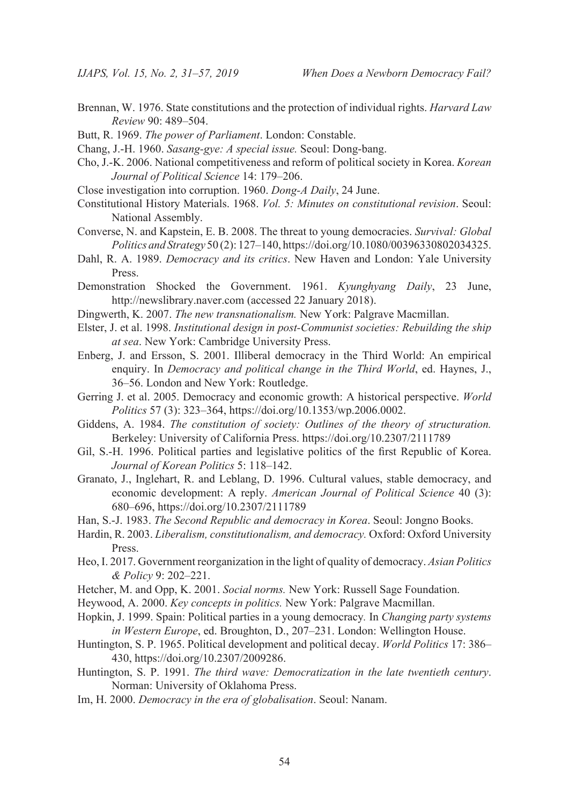- Brennan, W. 1976. State constitutions and the protection of individual rights. *Harvard Law Review* 90: 489–504.
- Butt, R. 1969. *The power of Parliament*. London: Constable.
- Chang, J.-H. 1960. *Sasang-gye: A special issue.* Seoul: Dong-bang.
- Cho, J.-K. 2006. National competitiveness and reform of political society in Korea. *Korean Journal of Political Science* 14: 179–206.
- Close investigation into corruption. 1960. *Dong-A Daily*, 24 June.
- Constitutional History Materials. 1968. *Vol. 5: Minutes on constitutional revision*. Seoul: National Assembly.
- Converse, N. and Kapstein, E. B. 2008. The threat to young democracies. *Survival: Global Politics and Strategy* 50 (2): 127–140, h[ttps://doi.org/10.1080/00396330802034325](http://doi.org.ssl.oca.korea.ac.kr/10.1080/00396330802034325).
- Dahl, R. A. 1989. *Democracy and its critics*. New Haven and London: Yale University Press.
- Demonstration Shocked the Government. 1961. *Kyunghyang Daily*, 23 June, <http://newslibrary.naver.com>(accessed 22 January 2018).
- Dingwerth, K. 2007. *The new transnationalism.* New York: Palgrave Macmillan.
- Elster, J. et al. 1998. *Institutional design in post-Communist societies: Rebuilding the ship at sea*. New York: Cambridge University Press.
- Enberg, J. and Ersson, S. 2001. Illiberal democracy in the Third World: An empirical enquiry. In *Democracy and political change in the Third World*, ed. Haynes, J., 36–56. London and New York: Routledge.
- Gerring J. et al. 2005. Democracy and economic growth: A historical perspective. *World Politics* 57 (3): 323–364, https://doi.org/10.1353/wp.2006.0002.
- Giddens, A. 1984. *The constitution of society: Outlines of the theory of structuration.* Berkeley: University of California Press. https://doi.org/10.2307/2111789
- Gil, S.-H. 1996. Political parties and legislative politics of the first Republic of Korea. *Journal of Korean Politics* 5: 118–142.
- Granato, J., Inglehart, R. and Leblang, D. 1996. Cultural values, stable democracy, and economic development: A reply. *American Journal of Political Science* 40 (3): 680–696, https://doi.org/10.2307/2111789
- Han, S.-J. 1983. *The Second Republic and democracy in Korea*. Seoul: Jongno Books.
- Hardin, R. 2003. *Liberalism, constitutionalism, and democracy.* Oxford: Oxford University Press.
- Heo, I. 2017. Government reorganization in the light of quality of democracy. *Asian Politics & Policy* 9: 202–221.
- Hetcher, M. and Opp, K. 2001. *Social norms.* New York: Russell Sage Foundation.
- Heywood, A. 2000. *Key concepts in politics.* New York: Palgrave Macmillan.
- Hopkin, J. 1999. Spain: Political parties in a young democracy*.* In *Changing party systems in Western Europe*, ed. Broughton, D., 207–231. London: Wellington House.
- Huntington, S. P. 1965. Political development and political decay. *World Politics* 17: 386– 430,<https://doi.org/10.2307/2009286>.
- Huntington, S. P. 1991. *The third wave: Democratization in the late twentieth century*. Norman: University of Oklahoma Press.
- Im, H. 2000. *Democracy in the era of globalisation*. Seoul: Nanam.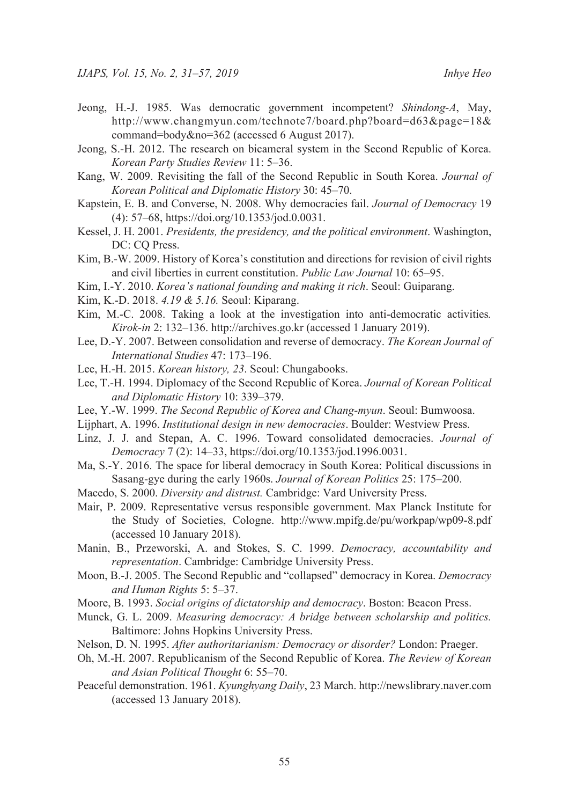- Jeong, H.-J. 1985. Was democratic government incompetent? *Shindong-A*, May, [http://www.changmyun.com/technote7/board.php?board=d63&page=18&](http://www.changmyun.com/technote7/board.php?board=d63&page=18&command=body&no=362) [command=body&no=362](http://www.changmyun.com/technote7/board.php?board=d63&page=18&command=body&no=362) (accessed 6 August 2017).
- Jeong, S.-H. 2012. The research on bicameral system in the Second Republic of Korea. *Korean Party Studies Review* 11: 5–36.
- Kang, W. 2009. Revisiting the fall of the Second Republic in South Korea. *Journal of Korean Political and Diplomatic History* 30: 45–70.
- Kapstein, E. B. and Converse, N. 2008. Why democracies fail. *Journal of Democracy* 19 (4): 57–68, https://doi.org[/10.1353/jod.0.0031](https://doi.org/10.1353/jod.0.0031).
- Kessel, J. H. 2001. *Presidents, the presidency, and the political environment*. Washington, DC: CQ Press.
- Kim, B.-W. 2009. History of Korea's constitution and directions for revision of civil rights and civil liberties in current constitution. *Public Law Journal* 10: 65–95.
- Kim, I.-Y. 2010. *Korea's national founding and making it rich*. Seoul: Guiparang.
- Kim, K.-D. 2018. *4.19 & 5.16.* Seoul: Kiparang.
- Kim, M.-C. 2008. Taking a look at the investigation into anti-democratic activities*. Kirok-in* 2: 132–136. http://archives.go.kr (accessed 1 January 2019).
- Lee, D.-Y. 2007. Between consolidation and reverse of democracy. *The Korean Journal of International Studies* 47: 173–196.
- Lee, H.-H. 2015. *Korean history, 23*. Seoul: Chungabooks.
- Lee, T.-H. 1994. Diplomacy of the Second Republic of Korea. *Journal of Korean Political and Diplomatic History* 10: 339–379.
- Lee, Y.-W. 1999. *The Second Republic of Korea and Chang-myun*. Seoul: Bumwoosa.
- Lijphart, A. 1996. *Institutional design in new democracies*. Boulder: Westview Press.
- Linz, J. J. and Stepan, A. C. 1996. Toward consolidated democracies. *Journal of Democracy* 7 (2): 14–33, https://doi.org/[10.1353/jod.1996.0031](https://doi.org/10.1353/jod.1996.0031).
- Ma, S.-Y. 2016. The space for liberal democracy in South Korea: Political discussions in Sasang-gye during the early 1960s. *Journal of Korean Politics* 25: 175–200.
- Macedo, S. 2000. *Diversity and distrust.* Cambridge: Vard University Press.
- Mair, P. 2009. Representative versus responsible government. Max Planck Institute for the Study of Societies, Cologne. <http://www.mpifg.de/pu/workpap/wp09-8.pdf> (accessed 10 January 2018).
- Manin, B., Przeworski, A. and Stokes, S. C. 1999. *Democracy, accountability and representation*. Cambridge: Cambridge University Press.
- Moon, B.-J. 2005. The Second Republic and "collapsed" democracy in Korea. *Democracy and Human Rights* 5: 5–37.
- Moore, B. 1993. *Social origins of dictatorship and democracy*. Boston: Beacon Press.
- Munck, G. L. 2009. *Measuring democracy: A bridge between scholarship and politics.*  Baltimore: Johns Hopkins University Press.
- Nelson, D. N. 1995. *After authoritarianism: Democracy or disorder?* London: Praeger.
- Oh, M.-H. 2007. Republicanism of the Second Republic of Korea. *The Review of Korean and Asian Political Thought* 6: 55–70.
- Peaceful demonstration. 1961. *Kyunghyang Daily*, 23 March.<http://newslibrary.naver.com> (accessed 13 January 2018).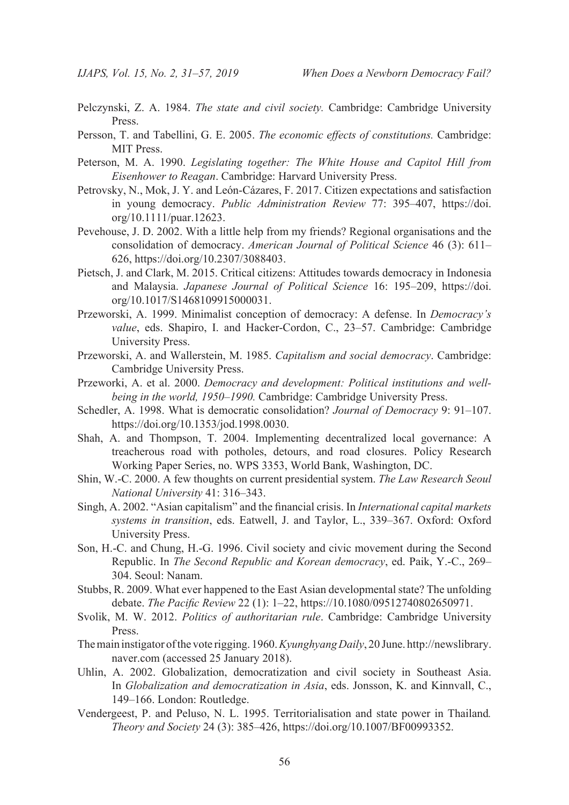- Pelczynski, Z. A. 1984. *The state and civil society.* Cambridge: Cambridge University Press.
- Persson, T. and Tabellini, G. E. 2005. *The economic effects of constitutions.* Cambridge: MIT Press.
- Peterson, M. A. 1990. *Legislating together: The White House and Capitol Hill from Eisenhower to Reagan*. Cambridge: Harvard University Press.
- Petrovsky, N., Mok, J. Y. and [León‐Cázares,](https://onlinelibrary.wiley.com/action/doSearch?ContribAuthorStored=Le%C3%B3n-C%C3%A1zares%2C+Filadelfo) F. 2017. Citizen expectations and satisfaction in young democracy. *Public Administration Review* 77: 395–407, [https://doi.](https://doi.org/10.1111/puar.12623) [org/10.1111/puar.12623.](https://doi.org/10.1111/puar.12623)
- Pevehouse, J. D. 2002. With a little help from my friends? Regional organisations and the consolidation of democracy. *American Journal of Political Science* 46 (3): 611– 626, https://doi.org/10.2307/3088403.
- Pietsch, J. and Clark, M. 2015. Critical citizens: Attitudes towards democracy in Indonesia and Malaysia. *Japanese Journal of Political Science* 16: 195–209, [https://doi.](https://doi.org/10.1017/S1468109915000031) [org/10.1017/S1468109915000031](https://doi.org/10.1017/S1468109915000031).
- Przeworski, A. 1999. Minimalist conception of democracy: A defense. In *Democracy's value*, eds. Shapiro, I. and Hacker-Cordon, C., 23–57. Cambridge: Cambridge University Press.
- Przeworski, A. and Wallerstein, M. 1985. *Capitalism and social democracy*. Cambridge: Cambridge University Press.
- Przeworki, A. et al. 2000. *Democracy and development: Political institutions and wellbeing in the world, 1950–1990.* Cambridge: Cambridge University Press.
- Schedler, A. 1998. What is democratic consolidation? *Journal of Democracy* 9: 91–107. https://doi.org[/10.1353/jod.1998.0030.](http://doi.org.ssl.oca.korea.ac.kr/10.1353/jod.1998.0030)
- Shah, A. and Thompson, T. 2004. Implementing decentralized local governance: A treacherous road with potholes, detours, and road closures. Policy Research Working Paper Series, no. WPS 3353, World Bank, Washington, DC.
- Shin, W.-C. 2000. A few thoughts on current presidential system. *The Law Research Seoul National University* 41: 316–343.
- Singh, A. 2002. "Asian capitalism" and the financial crisis. In *International capital markets systems in transition*, eds. Eatwell, J. and Taylor, L., 339–367. Oxford: Oxford University Press.
- Son, H.-C. and Chung, H.-G. 1996. Civil society and civic movement during the Second Republic. In *The Second Republic and Korean democracy*, ed. Paik, Y.-C., 269– 304. Seoul: Nanam.
- Stubbs, R. 2009. What ever happened to the East Asian developmental state? The unfolding debate. *The Pacific Review* 22 (1): 1–22, h[ttps://10.1080/09512740802650971](http://doi.org.ssl.oca.korea.ac.kr/10.1080/09512740802650971).
- Svolik, M. W. 2012. *Politics of authoritarian rule*. Cambridge: Cambridge University Press.
- The main instigator of the vote rigging. 1960. *Kyunghyang Daily*, 20 June. [http://newslibrary.](http://newslibrary.naver.com) [naver.com](http://newslibrary.naver.com) (accessed 25 January 2018).
- Uhlin, A. 2002. Globalization, democratization and civil society in Southeast Asia. In *Globalization and democratization in Asia*, eds. Jonsson, K. and Kinnvall, C., 149–166. London: Routledge.
- Vendergeest, P. and Peluso, N. L. 1995. Territorialisation and state power in Thailand*. Theory and Society* 24 (3): 385–426, https://doi.org/10.1007/BF00993352.